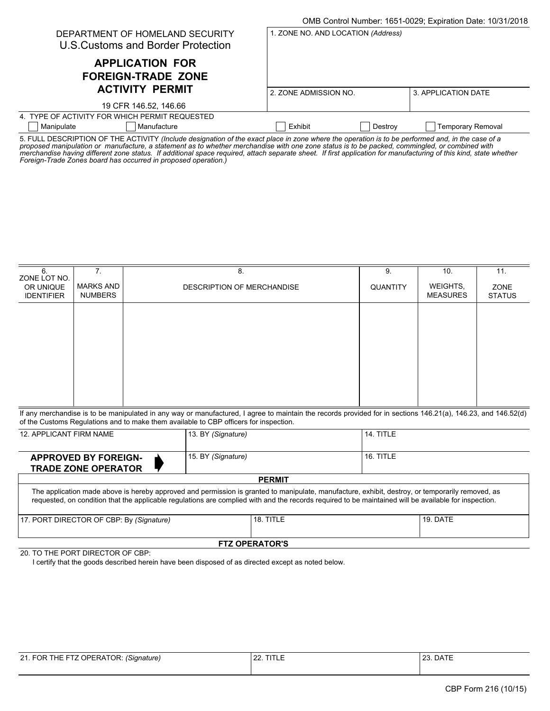|                                                                       |                                    | OMB Control Number: 1651-0029; Expiration Date: 10/31/2018 |
|-----------------------------------------------------------------------|------------------------------------|------------------------------------------------------------|
| DEPARTMENT OF HOMELAND SECURITY<br>U.S. Customs and Border Protection | 1. ZONE NO. AND LOCATION (Address) |                                                            |
| <b>APPLICATION FOR</b><br><b>FOREIGN-TRADE ZONE</b>                   |                                    |                                                            |
| <b>ACTIVITY PERMIT</b>                                                | 2. ZONE ADMISSION NO.              | 3. APPLICATION DATE                                        |
| 19 CFR 146.52, 146.66                                                 |                                    |                                                            |
| 4. TYPE OF ACTIVITY FOR WHICH PERMIT REQUESTED.                       |                                    |                                                            |
| Manipulate<br>Manufacture                                             | Exhibit<br>Destroy                 | <b>Temporary Removal</b>                                   |

5. FULL DESCRIPTION OF THE ACTIVITY *(Include designation of the exact place in zone where the operation is to be performed and, in the case of a proposed manipulation or manufacture, a statement as to whether merchandise with one zone status is to be packed, commingled, or combined with merchandise having different zone status. If additional space required, attach separate sheet. If first application for manufacturing of this kind, state whether Foreign-Trade Zones board has occurred in proposed operation.)*

| 6.<br>ZONE LOT NO.<br>OR UNIQUE<br><b>IDENTIFIER</b> | 7.<br>MARKS AND<br><b>NUMBERS</b> | 8.<br>DESCRIPTION OF MERCHANDISE | 9.<br><b>QUANTITY</b> | 10.<br>WEIGHTS,<br><b>MEASURES</b> | 11.<br>ZONE<br><b>STATUS</b> |
|------------------------------------------------------|-----------------------------------|----------------------------------|-----------------------|------------------------------------|------------------------------|
|                                                      |                                   |                                  |                       |                                    |                              |
|                                                      |                                   |                                  |                       |                                    |                              |
|                                                      |                                   |                                  |                       |                                    |                              |
|                                                      |                                   |                                  |                       |                                    |                              |

If any merchandise is to be manipulated in any way or manufactured, I agree to maintain the records provided for in sections 146.21(a), 146.23, and 146.52(d) of the Customs Regulations and to make them available to CBP officers for inspection.

| 12. APPLICANT FIRM NAME                                                                                                                                                                                                                                                                                   | 13. BY (Signature) |           | 14. TITLE |          |  |
|-----------------------------------------------------------------------------------------------------------------------------------------------------------------------------------------------------------------------------------------------------------------------------------------------------------|--------------------|-----------|-----------|----------|--|
| <b>APPROVED BY FOREIGN-</b><br><b>TRADE ZONE OPERATOR</b>                                                                                                                                                                                                                                                 | 15. BY (Signature) |           | 16. TITLE |          |  |
| <b>PERMIT</b>                                                                                                                                                                                                                                                                                             |                    |           |           |          |  |
| The application made above is hereby approved and permission is granted to manipulate, manufacture, exhibit, destroy, or temporarily removed, as<br>requested, on condition that the applicable requlations are complied with and the records required to be maintained will be available for inspection. |                    |           |           |          |  |
| 17. PORT DIRECTOR OF CBP: By (Signature)                                                                                                                                                                                                                                                                  |                    | 18. TITLE |           | 19. DATE |  |
| <b>FTZ OPERATOR'S</b>                                                                                                                                                                                                                                                                                     |                    |           |           |          |  |

20. TO THE PORT DIRECTOR OF CBP:

I certify that the goods described herein have been disposed of as directed except as noted below.

| 21. FOR THE FTZ OPERATOR: (Signature) | 22. TITLE | 23. DATE |
|---------------------------------------|-----------|----------|
|                                       |           |          |